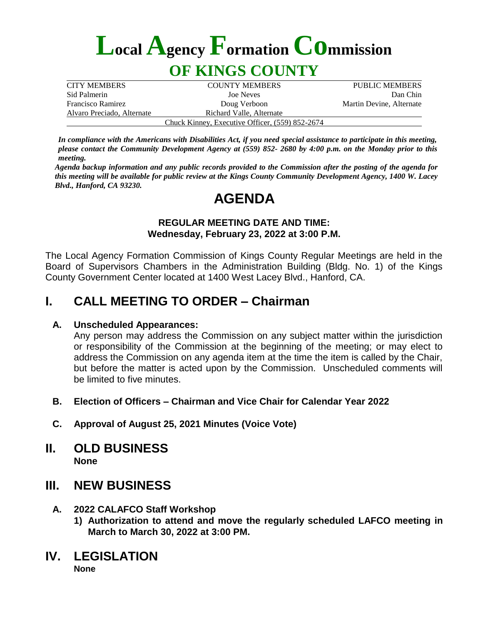# **LocalAgencyFormationCommission**

## **OF KINGS COUNTY**

| <b>CITY MEMBERS</b>        | <b>COUNTY MEMBERS</b>                           | PUBLIC MEMBERS           |
|----------------------------|-------------------------------------------------|--------------------------|
| Sid Palmerin               | Joe Neves                                       | Dan Chin                 |
| <b>Francisco Ramirez</b>   | Doug Verboon                                    | Martin Devine, Alternate |
| Alvaro Preciado, Alternate | Richard Valle, Alternate                        |                          |
|                            | Chuck Kinney, Executive Officer, (559) 852-2674 |                          |

*In compliance with the Americans with Disabilities Act, if you need special assistance to participate in this meeting, please contact the Community Development Agency at (559) 852- 2680 by 4:00 p.m. on the Monday prior to this meeting.*

*Agenda backup information and any public records provided to the Commission after the posting of the agenda for this meeting will be available for public review at the Kings County Community Development Agency, 1400 W. Lacey Blvd., Hanford, CA 93230.*

## **AGENDA**

#### *REGULAR MEETING DATE AND TIME:* **Wednesday, February 23, 2022 at 3:00 P.M.** *Hanford, CA 93230.*

The Local Agency Formation Commission of Kings County Regular Meetings are held in the Board of Supervisors Chambers in the Administration Building (Bldg. No. 1) of the Kings County Government Center located at 1400 West Lacey Blvd., Hanford, CA.

## **I. CALL MEETING TO ORDER – Chairman**

#### **A. Unscheduled Appearances:**

Any person may address the Commission on any subject matter within the jurisdiction or responsibility of the Commission at the beginning of the meeting; or may elect to address the Commission on any agenda item at the time the item is called by the Chair, but before the matter is acted upon by the Commission. Unscheduled comments will be limited to five minutes.

- **B. Election of Officers – Chairman and Vice Chair for Calendar Year 2022**
- **C. Approval of August 25, 2021 Minutes (Voice Vote)**
- **II. OLD BUSINESS None**

### **III. NEW BUSINESS**

- **A. 2022 CALAFCO Staff Workshop**
	- **1) Authorization to attend and move the regularly scheduled LAFCO meeting in March to March 30, 2022 at 3:00 PM.**
- **IV. LEGISLATION**

**None**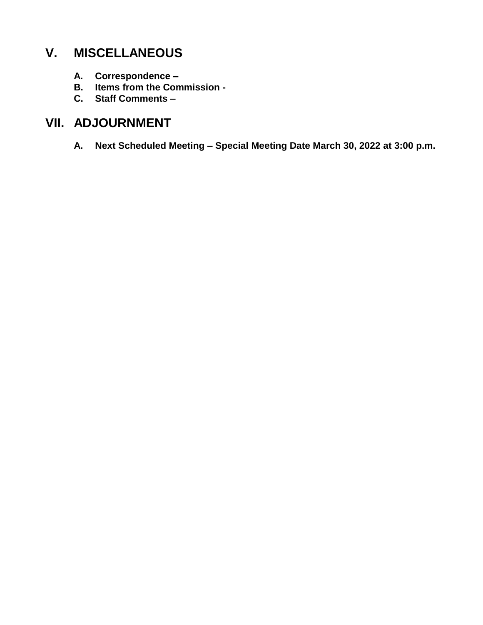## **V. MISCELLANEOUS**

- **A. Correspondence –**
- **B. Items from the Commission -**
- **C. Staff Comments –**

## **VII. ADJOURNMENT**

**A. Next Scheduled Meeting – Special Meeting Date March 30, 2022 at 3:00 p.m.**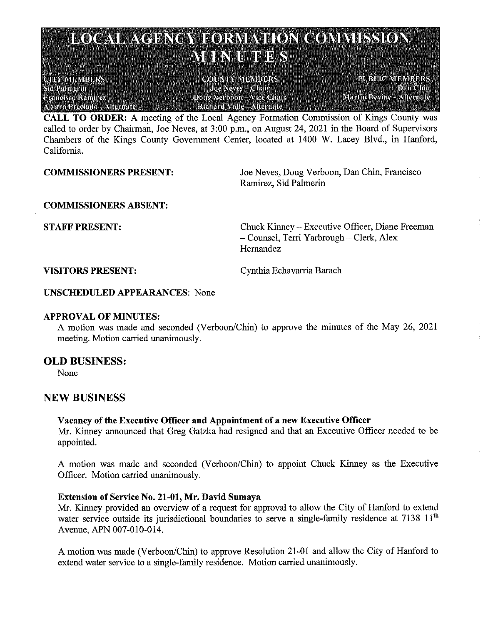## **LOCAL AGENCY FORMATION COMMISSION** MENTERS

**CHYMEMBERS** Sid Palmerin **Prancisco Raminez Alvaro Preciado - Alternate - - -**

**COUNTY VIEWBERS**  $Joc$  Neves = Cimin Doug Verboon - Vice Chair **Richard Valle - Alternate** 

**PUBLIC MEMBERS Dan Chin** Martin Devine - Alternate

**CALL TO ORDER:** A meeting of the Local Agency Formation Commission of Kings County was called to order by Chairman, Joe Neves, at 3:00 p.m., on August 24, 2021 in the Board of Supervisors Chambers of the Kings County Government Center, located at 1400 W. Lacey Blvd., in Hanford, California.

**COMMISSIONERS PRESENT:** 

Joe Neves, Doug Verboon, Dan Chin, Francisco Ramirez, Sid Palmerin

**COMMISSIONERS ABSENT:** 

**STAFF PRESENT:** 

Chuck Kinney – Executive Officer, Diane Freeman - Counsel, Terri Yarbrough - Clerk, Alex Hernandez

**VISITORS PRESENT:** 

Cynthia Echavarria Barach

**UNSCHEDULED APPEARANCES: None** 

#### **APPROVAL OF MINUTES:**

A motion was made and seconded (Verboon/Chin) to approve the minutes of the May 26, 2021 meeting. Motion carried unanimously.

#### **OLD BUSINESS:**

None

#### **NEW BUSINESS**

#### Vacancy of the Executive Officer and Appointment of a new Executive Officer

Mr. Kinney announced that Greg Gatzka had resigned and that an Executive Officer needed to be appointed.

A motion was made and seconded (Verboon/Chin) to appoint Chuck Kinney as the Executive Officer. Motion carried unanimously.

#### **Extension of Service No. 21-01, Mr. David Sumaya**

Mr. Kinney provided an overview of a request for approval to allow the City of Hanford to extend water service outside its jurisdictional boundaries to serve a single-family residence at 7138 11<sup>th</sup> Avenue, APN 007-010-014.

A motion was made (Verboon/Chin) to approve Resolution 21-01 and allow the City of Hanford to extend water service to a single-family residence. Motion carried unanimously.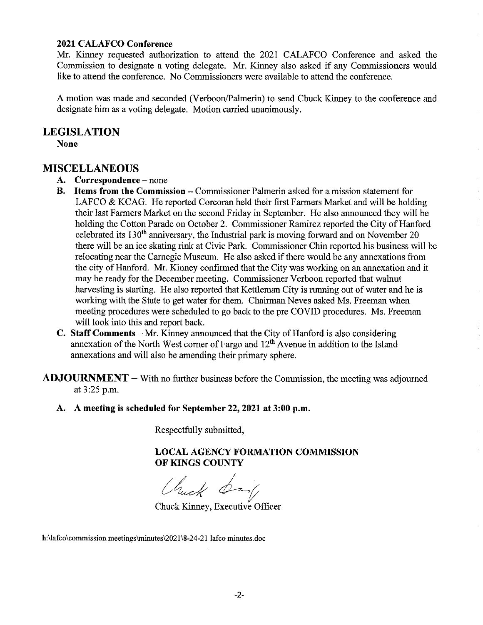#### **2021 CALAFCO Conference**

Mr. Kinney requested authorization to attend the 2021 CALAFCO Conference and asked the Commission to designate a voting delegate. Mr. Kinney also asked if any Commissioners would like to attend the conference. No Commissioners were available to attend the conference.

A motion was made and seconded (Verboon/Palmerin) to send Chuck Kinney to the conference and designate him as a voting delegate. Motion carried unanimously.

#### **LEGISLATION**

**None** 

#### **MISCELLANEOUS**

- A. Correspondence none
- B. Items from the Commission Commissioner Palmerin asked for a mission statement for LAFCO & KCAG. He reported Corcoran held their first Farmers Market and will be holding their last Farmers Market on the second Friday in September. He also announced they will be holding the Cotton Parade on October 2. Commissioner Ramirez reported the City of Hanford celebrated its 130<sup>th</sup> anniversary, the Industrial park is moving forward and on November 20 there will be an ice skating rink at Civic Park. Commissioner Chin reported his business will be relocating near the Carnegie Museum. He also asked if there would be any annexations from the city of Hanford. Mr. Kinney confirmed that the City was working on an annexation and it may be ready for the December meeting. Commissioner Verboon reported that walnut harvesting is starting. He also reported that Kettleman City is running out of water and he is working with the State to get water for them. Chairman Neves asked Ms. Freeman when meeting procedures were scheduled to go back to the pre COVID procedures. Ms. Freeman will look into this and report back.
- C. Staff Comments Mr. Kinney announced that the City of Hanford is also considering annexation of the North West corner of Fargo and 12<sup>th</sup> Avenue in addition to the Island annexations and will also be amending their primary sphere.
- $ADJOURNMENT With no further business before the Commission, the meeting was adiourned.$ at 3:25 p.m.
	- A. A meeting is scheduled for September 22, 2021 at 3:00 p.m.

Respectfully submitted,

**LOCAL AGENCY FORMATION COMMISSION** OF KINGS COUNTY

Chuck by

Chuck Kinney, Executive Officer

h:\lafco\commission meetings\minutes\2021\8-24-21 lafco minutes.doc